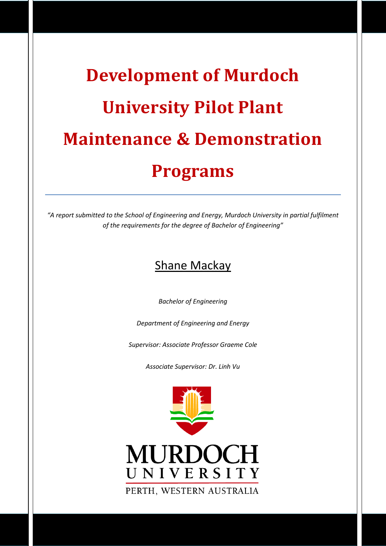# **Development of Murdoch University Pilot Plant Maintenance & Demonstration Programs**

"A report submitted to the School of Engineering and Energy, Murdoch University in partial fulfilment of the requirements for the degree of Bachelor of Engineering"

# **Shane Mackay**

**Bachelor of Engineering** 

Department of Engineering and Energy

Supervisor: Associate Professor Graeme Cole

Associate Supervisor: Dr. Linh Vu

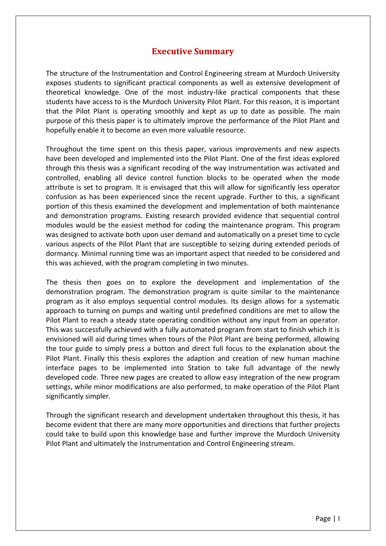#### **Executive Summary**

<span id="page-1-0"></span>The structure of the Instrumentation and Control Engineering stream at Murdoch University exposes students to significant practical components as well as extensive development of theoretical knowledge. One of the most industry-like practical components that these students have access to is the Murdoch University Pilot Plant. For this reason, it is important that the Pilot Plant is operating smoothly and kept as up to date as possible. The main purpose of this thesis paper is to ultimately improve the performance of the Pilot Plant and hopefully enable it to become an even more valuable resource.

Throughout the time spent on this thesis paper, various improvements and new aspects have been developed and implemented into the Pilot Plant. One of the first ideas explored through this thesis was a significant recoding of the way instrumentation was activated and controlled, enabling all device control function blocks to be operated when the mode attribute is set to program. It is envisaged that this will allow for significantly less operator confusion as has been experienced since the recent upgrade. Further to this, a significant portion of this thesis examined the development and implementation of both maintenance and demonstration programs. Existing research provided evidence that sequential control modules would be the easiest method for coding the maintenance program. This program was designed to activate both upon user demand and automatically on a preset time to cycle various aspects of the Pilot Plant that are susceptible to seizing during extended periods of dormancy. Minimal running time was an important aspect that needed to be considered and this was achieved, with the program completing in two minutes.

The thesis then goes on to explore the development and implementation of the demonstration program. The demonstration program is quite similar to the maintenance program as it also employs sequential control modules. Its design allows for a systematic approach to turning on pumps and waiting until predefined conditions are met to allow the Pilot Plant to reach a steady state operating condition without any input from an operator. This was successfully achieved with a fully automated program from start to finish which it is envisioned will aid during times when tours of the Pilot Plant are being performed, allowing the tour guide to simply press a button and direct full focus to the explanation about the Pilot Plant. Finally this thesis explores the adaption and creation of new human machine interface pages to be implemented into Station to take full advantage of the newly developed code. Three new pages are created to allow easy integration of the new program settings, while minor modifications are also performed, to make operation of the Pilot Plant significantly simpler.

Through the significant research and development undertaken throughout this thesis, it has become evident that there are many more opportunities and directions that further projects could take to build upon this knowledge base and further improve the Murdoch University Pilot Plant and ultimately the Instrumentation and Control Engineering stream.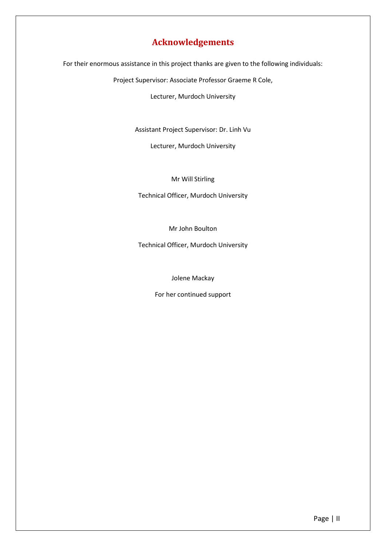### **Acknowledgements**

<span id="page-2-0"></span>For their enormous assistance in this project thanks are given to the following individuals:

Project Supervisor: Associate Professor Graeme R Cole,

Lecturer, Murdoch University

Assistant Project Supervisor: Dr. Linh Vu

Lecturer, Murdoch University

#### Mr Will Stirling

Technical Officer, Murdoch University

Mr John Boulton

Technical Officer, Murdoch University

Jolene Mackay

For her continued support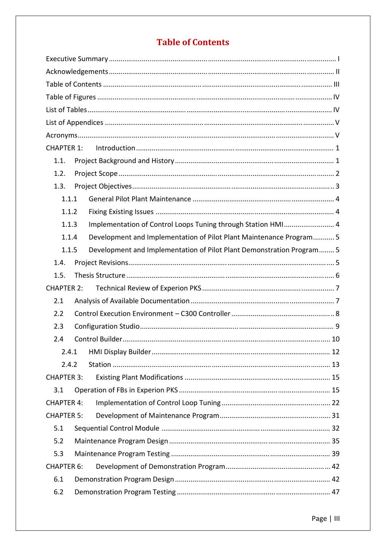### **Table of Contents**

<span id="page-3-0"></span>

| 1.1.              |  |                                                                       |  |  |
|-------------------|--|-----------------------------------------------------------------------|--|--|
| 1.2.              |  |                                                                       |  |  |
| 1.3.              |  |                                                                       |  |  |
| 1.1.1             |  |                                                                       |  |  |
| 1.1.2             |  |                                                                       |  |  |
| 1.1.3             |  | Implementation of Control Loops Tuning through Station HMI 4          |  |  |
| 1.1.4             |  | Development and Implementation of Pilot Plant Maintenance Program 5   |  |  |
| 1.1.5             |  | Development and Implementation of Pilot Plant Demonstration Program 5 |  |  |
| 1.4.              |  |                                                                       |  |  |
| 1.5.              |  |                                                                       |  |  |
| <b>CHAPTER 2:</b> |  |                                                                       |  |  |
| 2.1               |  |                                                                       |  |  |
| 2.2               |  |                                                                       |  |  |
| 2.3               |  |                                                                       |  |  |
| 2.4               |  |                                                                       |  |  |
| 2.4.1             |  |                                                                       |  |  |
| 2.4.2             |  |                                                                       |  |  |
| <b>CHAPTER 3:</b> |  |                                                                       |  |  |
| 3.1               |  |                                                                       |  |  |
| <b>CHAPTER 4:</b> |  |                                                                       |  |  |
| <b>CHAPTER 5:</b> |  |                                                                       |  |  |
| 5.1               |  |                                                                       |  |  |
| 5.2               |  |                                                                       |  |  |
| 5.3               |  |                                                                       |  |  |
| <b>CHAPTER 6:</b> |  |                                                                       |  |  |
| 6.1               |  |                                                                       |  |  |
| 6.2               |  |                                                                       |  |  |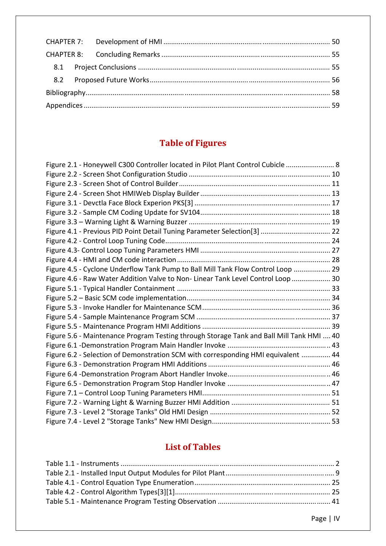# **Table of Figures**

<span id="page-4-0"></span>

| Figure 2.1 - Honeywell C300 Controller located in Pilot Plant Control Cubicle  8         |  |
|------------------------------------------------------------------------------------------|--|
|                                                                                          |  |
|                                                                                          |  |
|                                                                                          |  |
|                                                                                          |  |
|                                                                                          |  |
|                                                                                          |  |
| Figure 4.1 - Previous PID Point Detail Tuning Parameter Selection[3]  22                 |  |
|                                                                                          |  |
|                                                                                          |  |
|                                                                                          |  |
| Figure 4.5 - Cyclone Underflow Tank Pump to Ball Mill Tank Flow Control Loop  29         |  |
| Figure 4.6 - Raw Water Addition Valve to Non-Linear Tank Level Control Loop  30          |  |
|                                                                                          |  |
|                                                                                          |  |
|                                                                                          |  |
|                                                                                          |  |
|                                                                                          |  |
| Figure 5.6 - Maintenance Program Testing through Storage Tank and Ball Mill Tank HMI  40 |  |
|                                                                                          |  |
| Figure 6.2 - Selection of Demonstration SCM with corresponding HMI equivalent  44        |  |
|                                                                                          |  |
|                                                                                          |  |
|                                                                                          |  |
|                                                                                          |  |
|                                                                                          |  |
|                                                                                          |  |
|                                                                                          |  |

# **List of Tables**

<span id="page-4-1"></span>